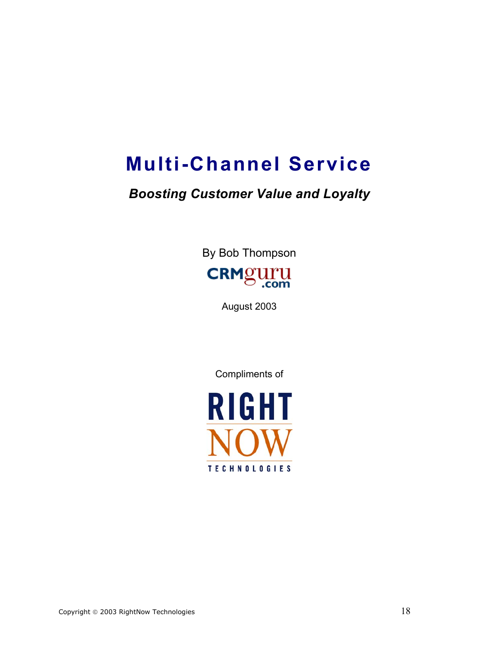# **Multi-Channel Service**

## *Boosting Customer Value and Loyalty*

By Bob Thompson **CRMguru** 

August 2003

Compliments of

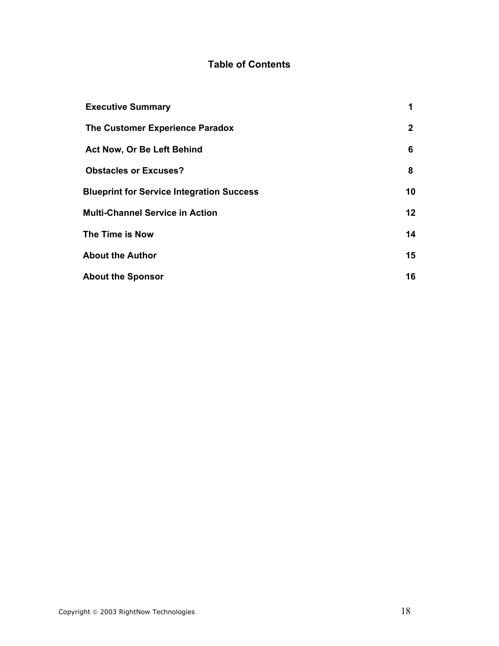### **Table of Contents**

| <b>Executive Summary</b>                         | $\blacktriangleleft$ |
|--------------------------------------------------|----------------------|
| The Customer Experience Paradox                  | $\mathbf{2}$         |
| Act Now, Or Be Left Behind                       | 6                    |
| <b>Obstacles or Excuses?</b>                     | 8                    |
| <b>Blueprint for Service Integration Success</b> | 10                   |
| <b>Multi-Channel Service in Action</b>           | 12 <sup>2</sup>      |
| The Time is Now                                  | 14                   |
| <b>About the Author</b>                          | 15                   |
| <b>About the Sponsor</b>                         | 16                   |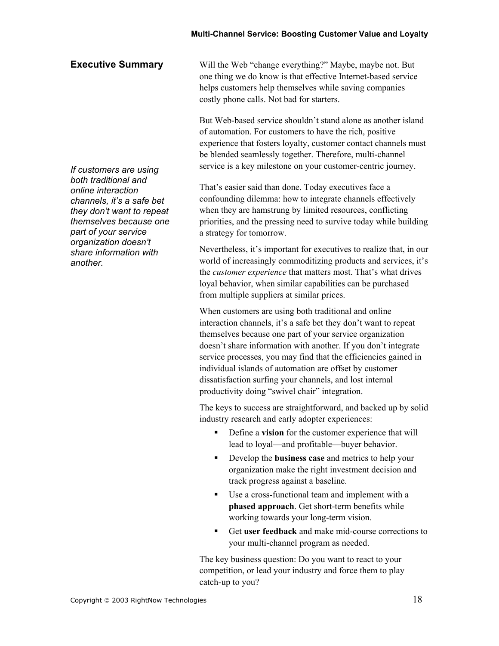#### **Executive Summary**

Will the Web "change everything?" Maybe, maybe not. But one thing we do know is that effective Internet-based service helps customers help themselves while saving companies costly phone calls. Not bad for starters.

But Web-based service shouldn't stand alone as another island of automation. For customers to have the rich, positive experience that fosters loyalty, customer contact channels must be blended seamlessly together. Therefore, multi-channel service is a key milestone on your customer-centric journey.

That's easier said than done. Today executives face a confounding dilemma: how to integrate channels effectively when they are hamstrung by limited resources, conflicting priorities, and the pressing need to survive today while building a strategy for tomorrow.

Nevertheless, it's important for executives to realize that, in our world of increasingly commoditizing products and services, it's the *customer experience* that matters most. That's what drives loyal behavior, when similar capabilities can be purchased from multiple suppliers at similar prices.

When customers are using both traditional and online interaction channels, it's a safe bet they don't want to repeat themselves because one part of your service organization doesn't share information with another. If you don't integrate service processes, you may find that the efficiencies gained in individual islands of automation are offset by customer dissatisfaction surfing your channels, and lost internal productivity doing "swivel chair" integration.

The keys to success are straightforward, and backed up by solid industry research and early adopter experiences:

- Define a **vision** for the customer experience that will lead to loyal—and profitable—buyer behavior.
- Develop the **business case** and metrics to help your organization make the right investment decision and track progress against a baseline.
- Use a cross-functional team and implement with a **phased approach**. Get short-term benefits while working towards your long-term vision.
- Get **user feedback** and make mid-course corrections to your multi-channel program as needed.

The key business question: Do you want to react to your competition, or lead your industry and force them to play catch-up to you?

*If customers are using both traditional and online interaction channels, it's a safe bet they don't want to repeat themselves because one part of your service organization doesn't share information with another.*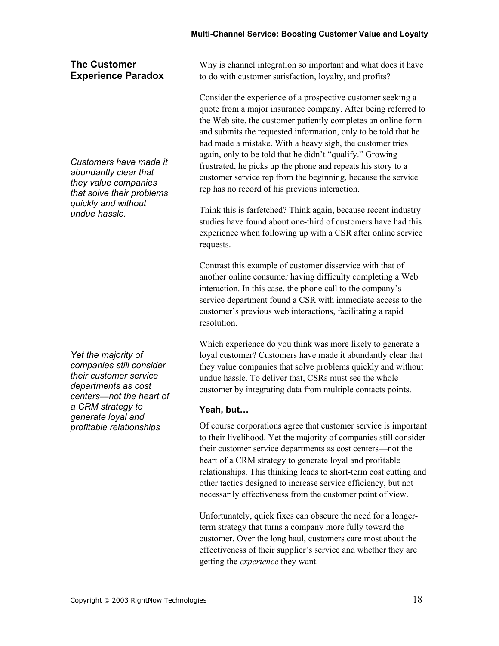#### **The Customer Experience Paradox**

*Customers have made it abundantly clear that they value companies that solve their problems quickly and without undue hassle.* 

*Yet the majority of companies still consider their customer service departments as cost centers—not the heart of a CRM strategy to generate loyal and profitable relationships* 

Why is channel integration so important and what does it have to do with customer satisfaction, loyalty, and profits?

Consider the experience of a prospective customer seeking a quote from a major insurance company. After being referred to the Web site, the customer patiently completes an online form and submits the requested information, only to be told that he had made a mistake. With a heavy sigh, the customer tries again, only to be told that he didn't "qualify." Growing frustrated, he picks up the phone and repeats his story to a customer service rep from the beginning, because the service rep has no record of his previous interaction.

Think this is farfetched? Think again, because recent industry studies have found about one-third of customers have had this experience when following up with a CSR after online service requests.

Contrast this example of customer disservice with that of another online consumer having difficulty completing a Web interaction. In this case, the phone call to the company's service department found a CSR with immediate access to the customer's previous web interactions, facilitating a rapid resolution.

Which experience do you think was more likely to generate a loyal customer? Customers have made it abundantly clear that they value companies that solve problems quickly and without undue hassle. To deliver that, CSRs must see the whole customer by integrating data from multiple contacts points.

#### **Yeah, but…**

Of course corporations agree that customer service is important to their livelihood. Yet the majority of companies still consider their customer service departments as cost centers—not the heart of a CRM strategy to generate loyal and profitable relationships. This thinking leads to short-term cost cutting and other tactics designed to increase service efficiency, but not necessarily effectiveness from the customer point of view.

Unfortunately, quick fixes can obscure the need for a longerterm strategy that turns a company more fully toward the customer. Over the long haul, customers care most about the effectiveness of their supplier's service and whether they are getting the *experience* they want.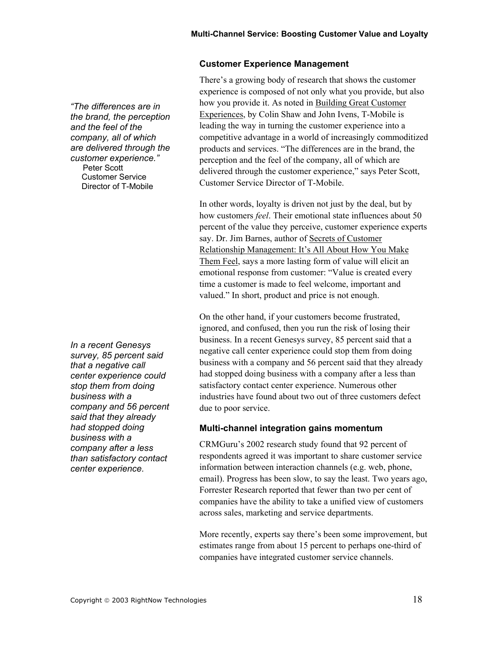#### **Customer Experience Management**

There's a growing body of research that shows the customer experience is composed of not only what you provide, but also how you provide it. As noted in Building Great Customer Experiences, by Colin Shaw and John Ivens, T-Mobile is leading the way in turning the customer experience into a competitive advantage in a world of increasingly commoditized products and services. "The differences are in the brand, the perception and the feel of the company, all of which are delivered through the customer experience," says Peter Scott, Customer Service Director of T-Mobile.

In other words, loyalty is driven not just by the deal, but by how customers *feel*. Their emotional state influences about 50 percent of the value they perceive, customer experience experts say. Dr. Jim Barnes, author of Secrets of Customer Relationship Management: It's All About How You Make Them Feel, says a more lasting form of value will elicit an emotional response from customer: "Value is created every time a customer is made to feel welcome, important and valued." In short, product and price is not enough.

On the other hand, if your customers become frustrated, ignored, and confused, then you run the risk of losing their business. In a recent Genesys survey, 85 percent said that a negative call center experience could stop them from doing business with a company and 56 percent said that they already had stopped doing business with a company after a less than satisfactory contact center experience. Numerous other industries have found about two out of three customers defect due to poor service.

#### **Multi-channel integration gains momentum**

CRMGuru's 2002 research study found that 92 percent of respondents agreed it was important to share customer service information between interaction channels (e.g. web, phone, email). Progress has been slow, to say the least. Two years ago, Forrester Research reported that fewer than two per cent of companies have the ability to take a unified view of customers across sales, marketing and service departments.

More recently, experts say there's been some improvement, but estimates range from about 15 percent to perhaps one-third of companies have integrated customer service channels.

*"The differences are in the brand, the perception and the feel of the company, all of which are delivered through the customer experience."*  **Peter Scott**  Customer Service Director of T-Mobile

*In a recent Genesys survey, 85 percent said that a negative call center experience could stop them from doing business with a company and 56 percent said that they already had stopped doing business with a company after a less than satisfactory contact center experience.*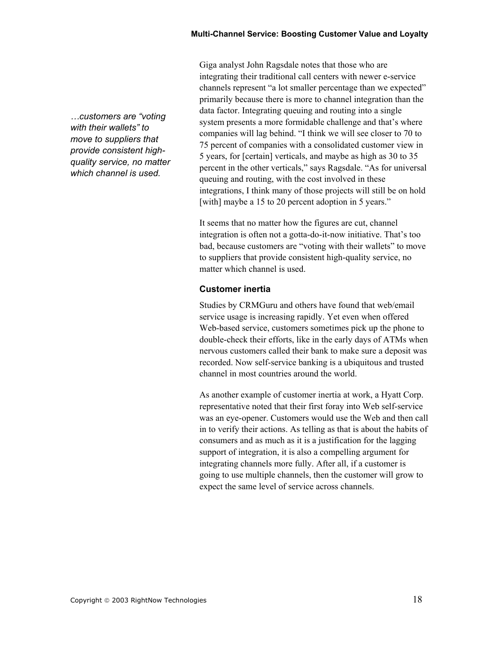*…customers are "voting with their wallets" to move to suppliers that provide consistent highquality service, no matter which channel is used.*

Giga analyst John Ragsdale notes that those who are integrating their traditional call centers with newer e-service channels represent "a lot smaller percentage than we expected" primarily because there is more to channel integration than the data factor. Integrating queuing and routing into a single system presents a more formidable challenge and that's where companies will lag behind. "I think we will see closer to 70 to 75 percent of companies with a consolidated customer view in 5 years, for [certain] verticals, and maybe as high as 30 to 35 percent in the other verticals," says Ragsdale. "As for universal queuing and routing, with the cost involved in these integrations, I think many of those projects will still be on hold [with] maybe a 15 to 20 percent adoption in 5 years."

It seems that no matter how the figures are cut, channel integration is often not a gotta-do-it-now initiative. That's too bad, because customers are "voting with their wallets" to move to suppliers that provide consistent high-quality service, no matter which channel is used.

#### **Customer inertia**

Studies by CRMGuru and others have found that web/email service usage is increasing rapidly. Yet even when offered Web-based service, customers sometimes pick up the phone to double-check their efforts, like in the early days of ATMs when nervous customers called their bank to make sure a deposit was recorded. Now self-service banking is a ubiquitous and trusted channel in most countries around the world.

As another example of customer inertia at work, a Hyatt Corp. representative noted that their first foray into Web self-service was an eye-opener. Customers would use the Web and then call in to verify their actions. As telling as that is about the habits of consumers and as much as it is a justification for the lagging support of integration, it is also a compelling argument for integrating channels more fully. After all, if a customer is going to use multiple channels, then the customer will grow to expect the same level of service across channels.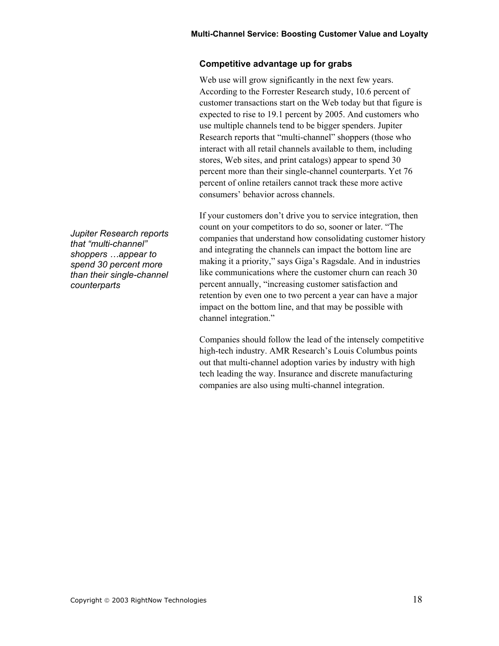#### **Competitive advantage up for grabs**

Web use will grow significantly in the next few years. According to the Forrester Research study, 10.6 percent of customer transactions start on the Web today but that figure is expected to rise to 19.1 percent by 2005. And customers who use multiple channels tend to be bigger spenders. Jupiter Research reports that "multi-channel" shoppers (those who interact with all retail channels available to them, including stores, Web sites, and print catalogs) appear to spend 30 percent more than their single-channel counterparts. Yet 76 percent of online retailers cannot track these more active consumers' behavior across channels.

If your customers don't drive you to service integration, then count on your competitors to do so, sooner or later. "The companies that understand how consolidating customer history and integrating the channels can impact the bottom line are making it a priority," says Giga's Ragsdale. And in industries like communications where the customer churn can reach 30 percent annually, "increasing customer satisfaction and retention by even one to two percent a year can have a major impact on the bottom line, and that may be possible with channel integration."

Companies should follow the lead of the intensely competitive high-tech industry. AMR Research's Louis Columbus points out that multi-channel adoption varies by industry with high tech leading the way. Insurance and discrete manufacturing companies are also using multi-channel integration.

*Jupiter Research reports that "multi-channel" shoppers …appear to spend 30 percent more than their single-channel counterparts*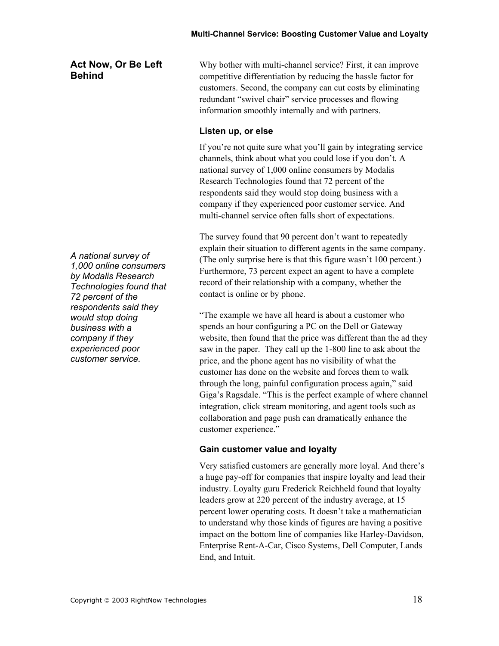#### **Act Now, Or Be Left Behind**

*A national survey of 1,000 online consumers by Modalis Research Technologies found that 72 percent of the respondents said they would stop doing business with a company if they experienced poor customer service.* 

Why bother with multi-channel service? First, it can improve competitive differentiation by reducing the hassle factor for customers. Second, the company can cut costs by eliminating redundant "swivel chair" service processes and flowing information smoothly internally and with partners.

#### **Listen up, or else**

If you're not quite sure what you'll gain by integrating service channels, think about what you could lose if you don't. A national survey of 1,000 online consumers by Modalis Research Technologies found that 72 percent of the respondents said they would stop doing business with a company if they experienced poor customer service. And multi-channel service often falls short of expectations.

The survey found that 90 percent don't want to repeatedly explain their situation to different agents in the same company. (The only surprise here is that this figure wasn't 100 percent.) Furthermore, 73 percent expect an agent to have a complete record of their relationship with a company, whether the contact is online or by phone.

"The example we have all heard is about a customer who spends an hour configuring a PC on the Dell or Gateway website, then found that the price was different than the ad they saw in the paper. They call up the 1-800 line to ask about the price, and the phone agent has no visibility of what the customer has done on the website and forces them to walk through the long, painful configuration process again," said Giga's Ragsdale. "This is the perfect example of where channel integration, click stream monitoring, and agent tools such as collaboration and page push can dramatically enhance the customer experience."

#### **Gain customer value and loyalty**

Very satisfied customers are generally more loyal. And there's a huge pay-off for companies that inspire loyalty and lead their industry. Loyalty guru Frederick Reichheld found that loyalty leaders grow at 220 percent of the industry average, at 15 percent lower operating costs. It doesn't take a mathematician to understand why those kinds of figures are having a positive impact on the bottom line of companies like Harley-Davidson, Enterprise Rent-A-Car, Cisco Systems, Dell Computer, Lands End, and Intuit.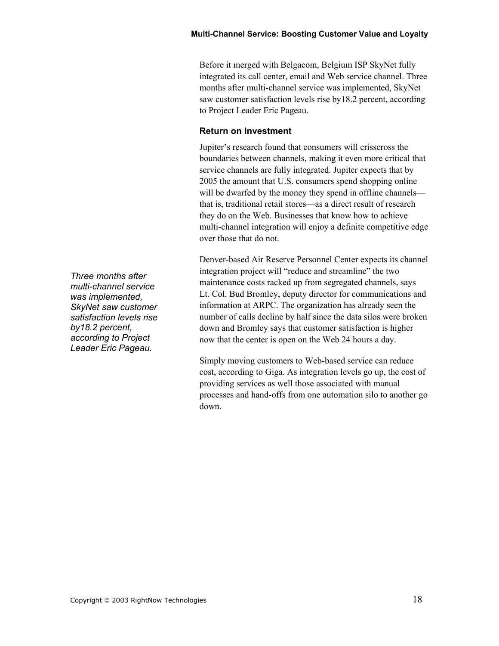Before it merged with Belgacom, Belgium ISP SkyNet fully integrated its call center, email and Web service channel. Three months after multi-channel service was implemented, SkyNet saw customer satisfaction levels rise by18.2 percent, according to Project Leader Eric Pageau.

#### **Return on Investment**

Jupiter's research found that consumers will crisscross the boundaries between channels, making it even more critical that service channels are fully integrated. Jupiter expects that by 2005 the amount that U.S. consumers spend shopping online will be dwarfed by the money they spend in offline channels that is, traditional retail stores—as a direct result of research they do on the Web. Businesses that know how to achieve multi-channel integration will enjoy a definite competitive edge over those that do not.

Denver-based Air Reserve Personnel Center expects its channel integration project will "reduce and streamline" the two maintenance costs racked up from segregated channels, says Lt. Col. Bud Bromley, deputy director for communications and information at ARPC. The organization has already seen the number of calls decline by half since the data silos were broken down and Bromley says that customer satisfaction is higher now that the center is open on the Web 24 hours a day.

Simply moving customers to Web-based service can reduce cost, according to Giga. As integration levels go up, the cost of providing services as well those associated with manual processes and hand-offs from one automation silo to another go down.

*Three months after multi-channel service was implemented, SkyNet saw customer satisfaction levels rise by18.2 percent, according to Project Leader Eric Pageau.*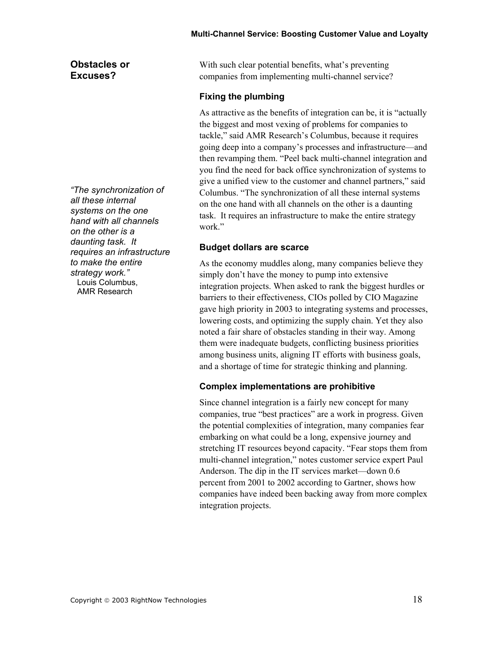#### **Obstacles or Excuses?**

*"The synchronization of all these internal systems on the one hand with all channels on the other is a daunting task. It requires an infrastructure to make the entire strategy work."*  Louis Columbus, AMR Research

With such clear potential benefits, what's preventing companies from implementing multi-channel service?

#### **Fixing the plumbing**

As attractive as the benefits of integration can be, it is "actually the biggest and most vexing of problems for companies to tackle," said AMR Research's Columbus, because it requires going deep into a company's processes and infrastructure—and then revamping them. "Peel back multi-channel integration and you find the need for back office synchronization of systems to give a unified view to the customer and channel partners," said Columbus. "The synchronization of all these internal systems on the one hand with all channels on the other is a daunting task. It requires an infrastructure to make the entire strategy work"

#### **Budget dollars are scarce**

As the economy muddles along, many companies believe they simply don't have the money to pump into extensive integration projects. When asked to rank the biggest hurdles or barriers to their effectiveness, CIOs polled by CIO Magazine gave high priority in 2003 to integrating systems and processes, lowering costs, and optimizing the supply chain. Yet they also noted a fair share of obstacles standing in their way. Among them were inadequate budgets, conflicting business priorities among business units, aligning IT efforts with business goals, and a shortage of time for strategic thinking and planning.

#### **Complex implementations are prohibitive**

Since channel integration is a fairly new concept for many companies, true "best practices" are a work in progress. Given the potential complexities of integration, many companies fear embarking on what could be a long, expensive journey and stretching IT resources beyond capacity. "Fear stops them from multi-channel integration," notes customer service expert Paul Anderson. The dip in the IT services market—down 0.6 percent from 2001 to 2002 according to Gartner, shows how companies have indeed been backing away from more complex integration projects.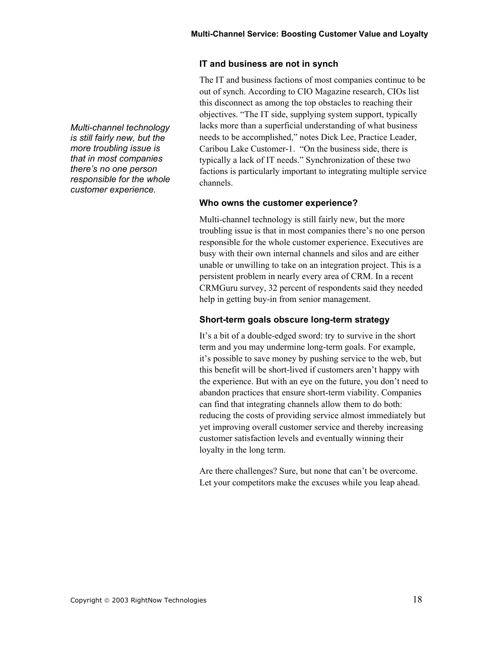#### **IT and business are not in synch**

The IT and business factions of most companies continue to be out of synch. According to CIO Magazine research, CIOs list this disconnect as among the top obstacles to reaching their objectives. "The IT side, supplying system support, typically lacks more than a superficial understanding of what business needs to be accomplished," notes Dick Lee, Practice Leader, Caribou Lake Customer-1. "On the business side, there is typically a lack of IT needs." Synchronization of these two factions is particularly important to integrating multiple service channels.

#### **Who owns the customer experience?**

Multi-channel technology is still fairly new, but the more troubling issue is that in most companies there's no one person responsible for the whole customer experience. Executives are busy with their own internal channels and silos and are either unable or unwilling to take on an integration project. This is a persistent problem in nearly every area of CRM. In a recent CRMGuru survey, 32 percent of respondents said they needed help in getting buy-in from senior management.

#### **Short-term goals obscure long-term strategy**

It's a bit of a double-edged sword: try to survive in the short term and you may undermine long-term goals. For example, it's possible to save money by pushing service to the web, but this benefit will be short-lived if customers aren't happy with the experience. But with an eye on the future, you don't need to abandon practices that ensure short-term viability. Companies can find that integrating channels allow them to do both: reducing the costs of providing service almost immediately but yet improving overall customer service and thereby increasing customer satisfaction levels and eventually winning their loyalty in the long term.

Are there challenges? Sure, but none that can't be overcome. Let your competitors make the excuses while you leap ahead.

*Multi-channel technology is still fairly new, but the more troubling issue is that in most companies there's no one person responsible for the whole customer experience.*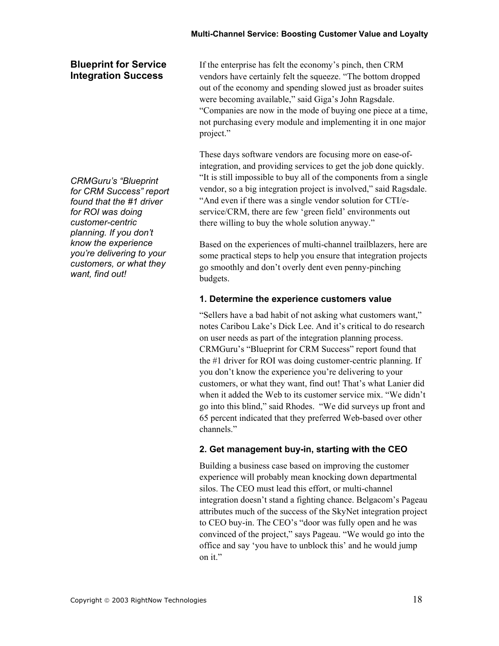#### **Blueprint for Service Integration Success**

If the enterprise has felt the economy's pinch, then CRM vendors have certainly felt the squeeze. "The bottom dropped out of the economy and spending slowed just as broader suites were becoming available," said Giga's John Ragsdale. "Companies are now in the mode of buying one piece at a time, not purchasing every module and implementing it in one major project."

These days software vendors are focusing more on ease-ofintegration, and providing services to get the job done quickly. "It is still impossible to buy all of the components from a single vendor, so a big integration project is involved," said Ragsdale. "And even if there was a single vendor solution for CTI/eservice/CRM, there are few 'green field' environments out there willing to buy the whole solution anyway."

Based on the experiences of multi-channel trailblazers, here are some practical steps to help you ensure that integration projects go smoothly and don't overly dent even penny-pinching budgets.

#### **1. Determine the experience customers value**

"Sellers have a bad habit of not asking what customers want," notes Caribou Lake's Dick Lee. And it's critical to do research on user needs as part of the integration planning process. CRMGuru's "Blueprint for CRM Success" report found that the #1 driver for ROI was doing customer-centric planning. If you don't know the experience you're delivering to your customers, or what they want, find out! That's what Lanier did when it added the Web to its customer service mix. "We didn't go into this blind," said Rhodes. "We did surveys up front and 65 percent indicated that they preferred Web-based over other channels."

#### **2. Get management buy-in, starting with the CEO**

Building a business case based on improving the customer experience will probably mean knocking down departmental silos. The CEO must lead this effort, or multi-channel integration doesn't stand a fighting chance. Belgacom's Pageau attributes much of the success of the SkyNet integration project to CEO buy-in. The CEO's "door was fully open and he was convinced of the project," says Pageau. "We would go into the office and say 'you have to unblock this' and he would jump on it."

*CRMGuru's "Blueprint for CRM Success" report found that the #1 driver for ROI was doing customer-centric planning. If you don't know the experience you're delivering to your customers, or what they want, find out!*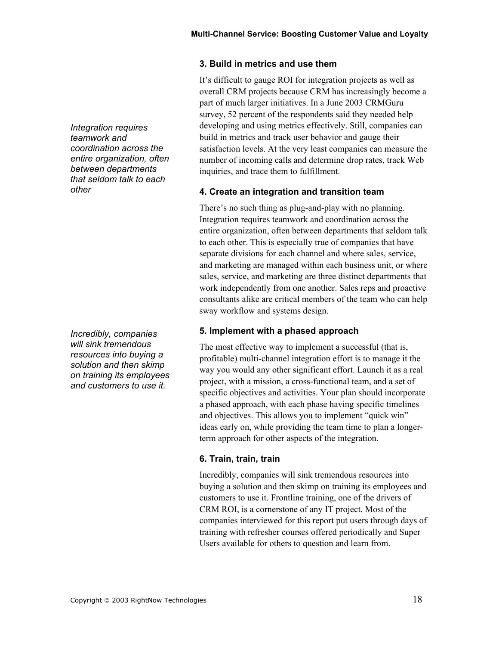**3. Build in metrics and use them** 

It's difficult to gauge ROI for integration projects as well as overall CRM projects because CRM has increasingly become a part of much larger initiatives. In a June 2003 CRMGuru survey, 52 percent of the respondents said they needed help developing and using metrics effectively. Still, companies can build in metrics and track user behavior and gauge their satisfaction levels. At the very least companies can measure the number of incoming calls and determine drop rates, track Web inquiries, and trace them to fulfillment.

#### **4. Create an integration and transition team**

There's no such thing as plug-and-play with no planning. Integration requires teamwork and coordination across the entire organization, often between departments that seldom talk to each other. This is especially true of companies that have separate divisions for each channel and where sales, service, and marketing are managed within each business unit, or where sales, service, and marketing are three distinct departments that work independently from one another. Sales reps and proactive consultants alike are critical members of the team who can help sway workflow and systems design.

#### **5. Implement with a phased approach**

The most effective way to implement a successful (that is, profitable) multi-channel integration effort is to manage it the way you would any other significant effort. Launch it as a real project, with a mission, a cross-functional team, and a set of specific objectives and activities. Your plan should incorporate a phased approach, with each phase having specific timelines and objectives. This allows you to implement "quick win" ideas early on, while providing the team time to plan a longerterm approach for other aspects of the integration.

#### **6. Train, train, train**

Incredibly, companies will sink tremendous resources into buying a solution and then skimp on training its employees and customers to use it. Frontline training, one of the drivers of CRM ROI, is a cornerstone of any IT project. Most of the companies interviewed for this report put users through days of training with refresher courses offered periodically and Super Users available for others to question and learn from.

*Integration requires teamwork and coordination across the entire organization, often between departments that seldom talk to each other* 

*Incredibly, companies will sink tremendous resources into buying a solution and then skimp on training its employees and customers to use it.*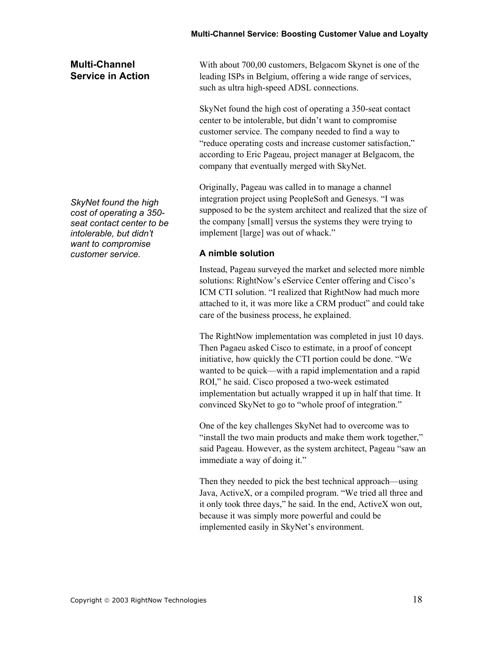#### **Multi-Channel Service in Action**

With about 700,00 customers, Belgacom Skynet is one of the leading ISPs in Belgium, offering a wide range of services, such as ultra high-speed ADSL connections.

SkyNet found the high cost of operating a 350-seat contact center to be intolerable, but didn't want to compromise customer service. The company needed to find a way to "reduce operating costs and increase customer satisfaction," according to Eric Pageau, project manager at Belgacom, the company that eventually merged with SkyNet.

Originally, Pageau was called in to manage a channel integration project using PeopleSoft and Genesys. "I was supposed to be the system architect and realized that the size of the company [small] versus the systems they were trying to implement [large] was out of whack."

#### **A nimble solution**

Instead, Pageau surveyed the market and selected more nimble solutions: RightNow's eService Center offering and Cisco's ICM CTI solution. "I realized that RightNow had much more attached to it, it was more like a CRM product" and could take care of the business process, he explained.

The RightNow implementation was completed in just 10 days. Then Pagaeu asked Cisco to estimate, in a proof of concept initiative, how quickly the CTI portion could be done. "We wanted to be quick—with a rapid implementation and a rapid ROI," he said. Cisco proposed a two-week estimated implementation but actually wrapped it up in half that time. It convinced SkyNet to go to "whole proof of integration."

One of the key challenges SkyNet had to overcome was to "install the two main products and make them work together," said Pageau. However, as the system architect, Pageau "saw an immediate a way of doing it."

Then they needed to pick the best technical approach—using Java, ActiveX, or a compiled program. "We tried all three and it only took three days," he said. In the end, ActiveX won out, because it was simply more powerful and could be implemented easily in SkyNet's environment.

*SkyNet found the high cost of operating a 350 seat contact center to be intolerable, but didn't want to compromise customer service.*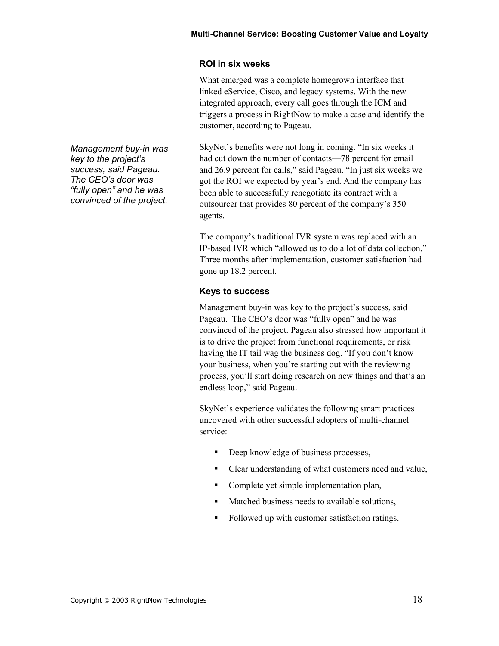#### **ROI in six weeks**

What emerged was a complete homegrown interface that linked eService, Cisco, and legacy systems. With the new integrated approach, every call goes through the ICM and triggers a process in RightNow to make a case and identify the customer, according to Pageau.

SkyNet's benefits were not long in coming. "In six weeks it had cut down the number of contacts—78 percent for email and 26.9 percent for calls," said Pageau. "In just six weeks we got the ROI we expected by year's end. And the company has been able to successfully renegotiate its contract with a outsourcer that provides 80 percent of the company's 350 agents.

The company's traditional IVR system was replaced with an IP-based IVR which "allowed us to do a lot of data collection." Three months after implementation, customer satisfaction had gone up 18.2 percent.

#### **Keys to success**

Management buy-in was key to the project's success, said Pageau. The CEO's door was "fully open" and he was convinced of the project. Pageau also stressed how important it is to drive the project from functional requirements, or risk having the IT tail wag the business dog. "If you don't know your business, when you're starting out with the reviewing process, you'll start doing research on new things and that's an endless loop," said Pageau.

SkyNet's experience validates the following smart practices uncovered with other successful adopters of multi-channel service:

- Deep knowledge of business processes,
- Clear understanding of what customers need and value,
- Complete yet simple implementation plan,
- Matched business needs to available solutions,
- Followed up with customer satisfaction ratings.

*Management buy-in was key to the project's success, said Pageau. The CEO's door was "fully open" and he was convinced of the project.*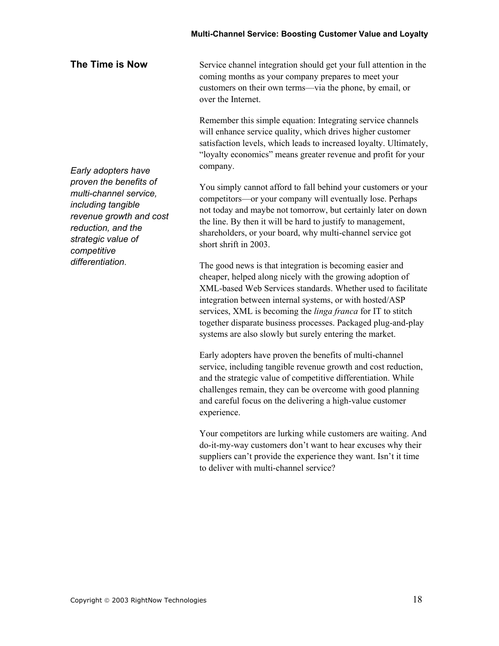**The Time is Now**  Service channel integration should get your full attention in the coming months as your company prepares to meet your customers on their own terms—via the phone, by email, or over the Internet.

> Remember this simple equation: Integrating service channels will enhance service quality, which drives higher customer satisfaction levels, which leads to increased loyalty. Ultimately, "loyalty economics" means greater revenue and profit for your company.

> You simply cannot afford to fall behind your customers or your competitors—or your company will eventually lose. Perhaps not today and maybe not tomorrow, but certainly later on down the line. By then it will be hard to justify to management, shareholders, or your board, why multi-channel service got short shrift in 2003.

> The good news is that integration is becoming easier and cheaper, helped along nicely with the growing adoption of XML-based Web Services standards. Whether used to facilitate integration between internal systems, or with hosted/ASP services, XML is becoming the *linga franca* for IT to stitch together disparate business processes. Packaged plug-and-play systems are also slowly but surely entering the market.

Early adopters have proven the benefits of multi-channel service, including tangible revenue growth and cost reduction, and the strategic value of competitive differentiation. While challenges remain, they can be overcome with good planning and careful focus on the delivering a high-value customer experience.

Your competitors are lurking while customers are waiting. And do-it-my-way customers don't want to hear excuses why their suppliers can't provide the experience they want. Isn't it time to deliver with multi-channel service?

*Early adopters have proven the benefits of multi-channel service, including tangible revenue growth and cost reduction, and the strategic value of competitive differentiation*.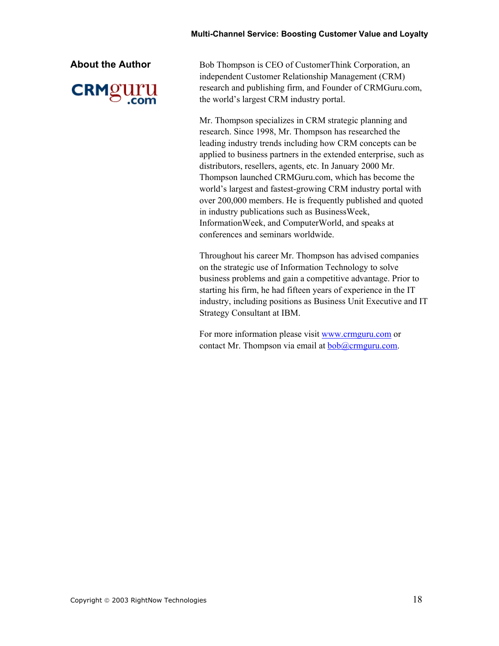

**About the Author Bob Thompson is CEO of CustomerThink Corporation, an** independent Customer Relationship Management (CRM) research and publishing firm, and Founder of CRMGuru.com, the world's largest CRM industry portal.

> Mr. Thompson specializes in CRM strategic planning and research. Since 1998, Mr. Thompson has researched the leading industry trends including how CRM concepts can be applied to business partners in the extended enterprise, such as distributors, resellers, agents, etc. In January 2000 Mr. Thompson launched CRMGuru.com, which has become the world's largest and fastest-growing CRM industry portal with over 200,000 members. He is frequently published and quoted in industry publications such as BusinessWeek, InformationWeek, and ComputerWorld, and speaks at conferences and seminars worldwide.

Throughout his career Mr. Thompson has advised companies on the strategic use of Information Technology to solve business problems and gain a competitive advantage. Prior to starting his firm, he had fifteen years of experience in the IT industry, including positions as Business Unit Executive and IT Strategy Consultant at IBM.

For more information please visit www.crmguru.com or contact Mr. Thompson via email at **bob**@crmguru.com.